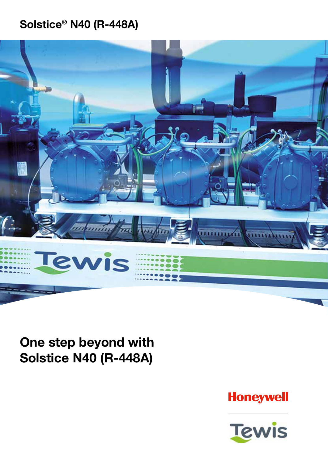## Solstice® N40 (R-448A)



One step beyond with Solstice N40 (R-448A)

**Honeywell** 

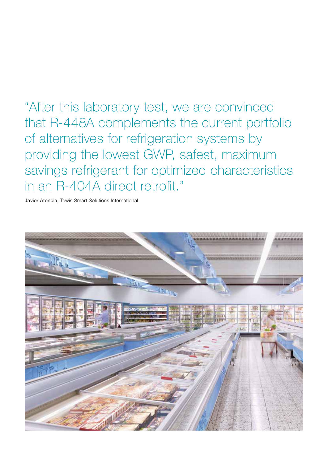"After this laboratory test, we are convinced that R-448A complements the current portfolio of alternatives for refrigeration systems by providing the lowest GWP, safest, maximum savings refrigerant for optimized characteristics in an R-404A direct retrofit."

Javier Atencia, Tewis Smart Solutions International

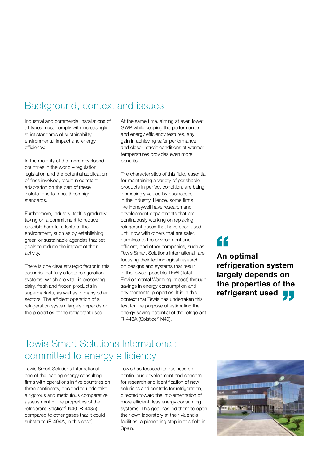### Background, context and issues

Industrial and commercial installations of all types must comply with increasingly strict standards of sustainability, environmental impact and energy efficiency.

In the majority of the more developed countries in the world – regulation, legislation and the potential application of fines involved, result in constant adaptation on the part of these installations to meet these high standards.

Furthermore, industry itself is gradually taking on a commitment to reduce possible harmful effects to the environment, such as by establishing green or sustainable agendas that set goals to reduce the impact of their activity.

There is one clear strategic factor in this scenario that fully affects refrigeration systems, which are vital, in preserving dairy, fresh and frozen products in supermarkets, as well as in many other sectors. The efficient operation of a refrigeration system largely depends on the properties of the refrigerant used.

At the same time, aiming at even lower GWP while keeping the performance and energy efficiency features, any gain in achieving safer performance and closer retrofit conditions at warmer temperatures provides even more benefits.

The characteristics of this fluid, essential for maintaining a variety of perishable products in perfect condition, are being increasingly valued by businesses in the industry. Hence, some firms like Honeywell have research and development departments that are continuously working on replacing refrigerant gases that have been used until now with others that are safer, harmless to the environment and efficient; and other companies, such as Tewis Smart Solutions International, are focusing their technological research on designs and systems that result in the lowest possible TEWI (Total Environmental Warming Impact) through savings in energy consumption and environmental properties. It is in this context that Tewis has undertaken this test for the purpose of estimating the energy saving potential of the refrigerant R-448A (Solstice® N40).

# "

An optimal refrigeration system largely depends on the properties of the refrigerant used **T** 

### Tewis Smart Solutions International: committed to energy efficiency

Tewis Smart Solutions International, one of the leading energy consulting firms with operations in five countries on three continents, decided to undertake a rigorous and meticulous comparative assessment of the properties of the refrigerant Solstice® N40 (R-448A) compared to other gases that it could substitute (R-404A, in this case).

Tewis has focused its business on continuous development and concern for research and identification of new solutions and controls for refrigeration. directed toward the implementation of more efficient, less energy consuming systems. This goal has led them to open their own laboratory at their Valencia facilities, a pioneering step in this field in Spain.

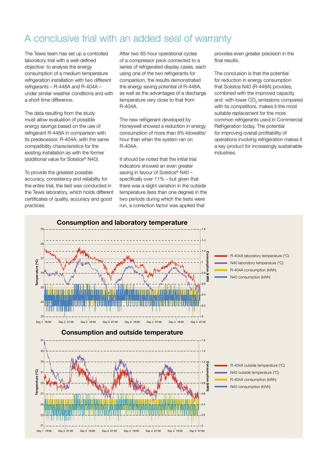### A conclusive trial with an added seal of warranty

The Tewis team has set up a controlled laboratory trial with a well-defined objective: to analyse the energy consumption of a medium temperature refrigeration installation with two different refrigerants – R-448A and R-404A – under similar weather conditions and with a short time difference.

The data resulting from the study must allow evaluation of possible energy savings based on the use of refrigerant R-448A in comparison with its predecessor, R-404A, with the same compatibility characteristics for the existing installation as with the former (additional value for Solstice® N40).

To provide the greatest possible accuracy, consistency and reliability for the entire trial, the test was conducted in the Tewis laboratory, which holds different certificates of quality, accuracy and good practices.

After two 85-hour operational cycles of a compressor pack connected to a series of refrigerated display cases, each using one of the two refrigerants for comparison, the results demonstrated the energy saving potential of R-448A, as well as the advantages of a discharge temperature very close to that from R-404A.

The new refrigerant developed by Honeywell showed a reduction in energy consumption of more than 8% kilowatts/ hour than when the system ran on R-404A.

It should be noted that the initial trial indicators showed an even greater saving in favour of Solstice® N40 – specifically over 11% – but given that there was a slight variation in the outside temperature (less than one degree) in the two periods during which the tests were run, a correction factor was applied that

provides even greater precision in the final results.

The conclusion is that the potential for reduction in energy consumption that Solstice N40 (R-448A) provides, combined with the improved capacity and with lower  $CO<sub>2</sub>$  emissions compared with its competitors, makes it the most suitable replacement for the more common refrigerants used in Commercial Refrigeration today. The potential for improving overall profitability of operations involving refrigeration makes it a key product for increasingly sustainable industries.

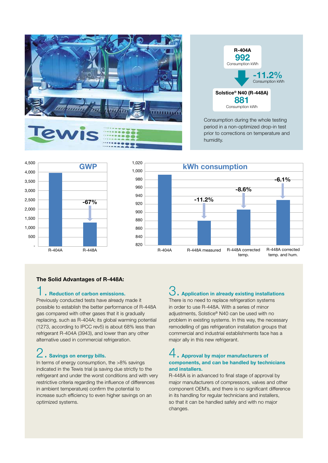



Consumption during the whole testing period in a non-optimized drop-in test prior to corrections on temperature and humidity.



#### The Solid Advantages of R-448A:

#### 1. Reduction of carbon emissions.

Previously conducted tests have already made it possible to establish the better performance of R-448A gas compared with other gases that it is gradually replacing, such as R-404A; its global warming potential (1273, according to IPCC rev5) is about 68% less than refrigerant R-404A (3943), and lower than any other alternative used in commercial refrigeration.

# 2. Savings on energy bills.

In terms of energy consumption, the >8% savings indicated in the Tewis trial (a saving due strictly to the refrigerant and under the worst conditions and with very restrictive criteria regarding the influence of differences in ambient temperature) confirm the potential to increase such efficiency to even higher savings on an optimized systems.

#### **Application in already existing installations**

There is no need to replace refrigeration systems in order to use R-448A. With a series of minor adjustments, Solstice® N40 can be used with no problem in existing systems. In this way, the necessary remodelling of gas refrigeration installation groups that commercial and industrial establishments face has a major ally in this new refrigerant.

### 4. Approval by major manufacturers of components, and can be handled by technicians and installers.

R-448A is in advanced to final stage of approval by major manufacturers of compressors, valves and other component OEM's, and there is no significant difference in its handling for regular technicians and installers, so that it can be handled safely and with no major changes.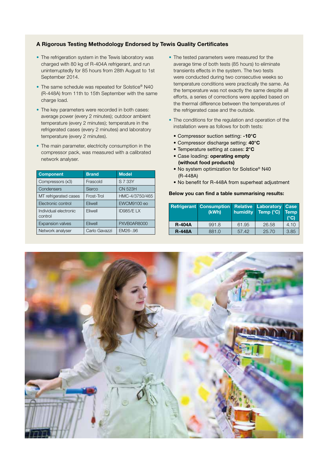#### A Rigorous Testing Methodology Endorsed by Tewis Quality Certificates

- The refrigeration system in the Tewis laboratory was charged with 80 kg of R-404A refrigerant, and run uninterruptedly for 85 hours from 28th August to 1st September 2014.
- The same schedule was repeated for Solstice® N40 (R-448A) from 11th to 15th September with the same charge load.
- The key parameters were recorded in both cases: average power (every 2 minutes); outdoor ambient temperature (every 2 minutes); temperature in the refrigerated cases (every 2 minutes) and laboratory temperature (every 2 minutes).
- The main parameter, electricity consumption in the compressor pack, was measured with a calibrated network analyser.

| <b>Component</b>                 | <b>Brand</b>  | <b>Model</b>   |
|----------------------------------|---------------|----------------|
| Compressors (x3)                 | Frascold      | S 7 33Y        |
| Condensers                       | Siarco        | <b>CN 523H</b> |
| MT refrigerated cases            | Frost-Trol    | HMC-4/3750/465 |
| Electronic control               | Eliwell       | EWCM9100 eo    |
| Individual electronic<br>control | Eliwell       | ID985/ELX      |
| <b>Expansion valves</b>          | Eliwell       | PXVB0AR8000    |
| Network analyser                 | Carlo Gavazzi | EM26-.96       |

- The tested parameters were measured for the average time of both tests (85 hours) to eliminate transients effects in the system. The two tests were conducted during two consecutive weeks so temperature conditions were practically the same. As the temperature was not exactly the same despite all efforts, a series of corrections were applied based on the thermal difference between the temperatures of the refrigerated case and the outside.
- The conditions for the regulation and operation of the installation were as follows for both tests:
	- Compressor suction setting: -10°C
	- Compressor discharge setting: 40°C
	- Temperature setting at cases: 2°C
	- Case loading: operating empty (without food products)
	- No system optimization for Solstice® N40 (R-448A)
	- No benefit for R-448A from superheat adjustment

#### Below you can find a table summarising results:

|               | <b>Refrigerant Consumption</b><br>(kWh) | humidity | <b>Relative Laboratory Case</b><br>Temp (°C) | <b>Temp</b><br>(C) |
|---------------|-----------------------------------------|----------|----------------------------------------------|--------------------|
| <b>R-404A</b> | 991.8                                   | 61.95    | 26.58                                        | 4.10               |
| <b>R-448A</b> | 881.0                                   | 57.42    | 25.70                                        | 3.85               |

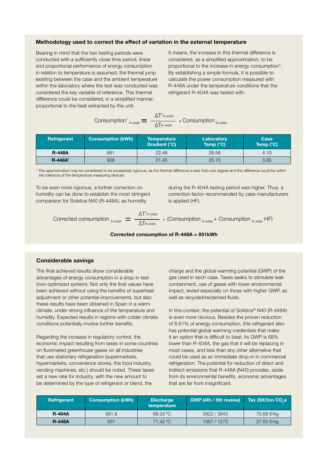#### Methodology used to correct the effect of variation in the external temperature

Bearing in mind that the two testing periods were conducted with a sufficiently close time period, linear and proportional performance of energy consumption in relation to temperature is assumed; the thermal jump existing between the case and the ambient temperature within the laboratory where the test was conducted was considered the key variable of reference. This thermal difference could be considered, in a simplified manner, proportional to the heat extracted by the unit.

It means, the increase in this thermal difference is considered, as a simplified approximation, to be proportional to the increase in energy consumption\*. By establishing a simple formula, it is possible to calculate the power consumption measured with R-448A under the temperature conditions that the refrigerant R-404A was tested with.

|                            | $\Lambda$ T' <sub>R-448A</sub> |                    |
|----------------------------|--------------------------------|--------------------|
| Consumption' $_{R-448A}$ = | $\Delta$ TR-448A               | Consumption R-448A |

| Refrigerant   | <b>Consumption (kWh)</b> | <b>Temperature</b><br><b>Gradient (°C)</b> | Laboratory<br>Temp $(^{\circ}C)$ | Case<br>Temp $(^{\circ}C)$ |
|---------------|--------------------------|--------------------------------------------|----------------------------------|----------------------------|
| <b>R-448A</b> | 881                      | 22.48                                      | 26.58                            | 4.10                       |
| R-448A        | 906                      | 21.45                                      | 25.70                            | 3.85                       |

\* This approximation may be considered to be excessively rigorous, as the thermal difference is less than one degree and this difference could be within the tolerance of the temperature measuring devices.

To be even more rigorous, a further correction on humidity can be done to establish the most stringent comparison for Solstice N40 (R-448A), as humidity

during the R-404A testing period was higher. Thus, a correction factor recommended by case manufacturers is applied (HF).

Corrected consumption  $_{R\text{-}448\text{A}} = \frac{1}{\sqrt{16.25 \cdot 10^{10} \cdot 10^{10}}}$  (Consumption  $_{R\text{-}448\text{A}}$  + Consumption  $_{R\text{-}448\text{A}}$  HF)

Corrected consumption of 
$$
R-448A = 931kWh
$$

, R-448A

R-448A

#### Considerable savings

The final achieved results show considerable advantages of energy consumption in a drop-in test (non-optimized system). Not only the final values have been achieved without using the benefits of superheat adjustment or other potential improvements, but also these results have been obtained in Spain in a warm climate, under strong influence of the temperature and humidity. Expected results in regions with colder climate conditions potentially involve further benefits.

Regarding the increase in regulatory control, the economic impact resulting from taxes in some countries on fluorinated greenhouse gases on all industries that use stationary refrigeration (supermarkets, hypermarkets, convenience stores, the food industry, vending machines, etc.) should be noted. These taxes set a new rate for industry, with the new amount to be determined by the type of refrigerant or blend, the

charge and the global warming potential (GWP) of the gas used in each case. Taxes seeks to stimulate leak containment, use of gases with lower environmental impact, levied especially on those with higher GWP, as well as recycled/reclaimed fluids.

In this context, the potential of Solstice<sup>®</sup> N40 (R-448A) is even more obvious. Besides the proven reduction of 8.61% of energy consumption, this refrigerant also has potential global warming credentials that make it an option that is difficult to beat: its GWP is 68% lower than R-404A, the gas that it will be replacing in most cases, and less than any other alternative that could be used as an immediate drop-in in commercial refrigeration. The potential for reduction of direct and indirect emissions that R-448A (N40) provides, aside from its environmental benefits, economic advantages that are far from insignificant.

| Refrigerant   | <b>Consumption (kWh)</b> | <b>Discharge</b><br>temperature | GWP (4th / 5th review) | ่ Tax 20€/ton CO e เ |
|---------------|--------------------------|---------------------------------|------------------------|----------------------|
| <b>R-404A</b> | 991.8                    | 68.33 °C                        | 3922 / 3943            | 75.68 €/kg           |
| <b>R-448A</b> | 931                      | 71.42 °C                        | 1387 / 1273            | 27.60 €/kg           |